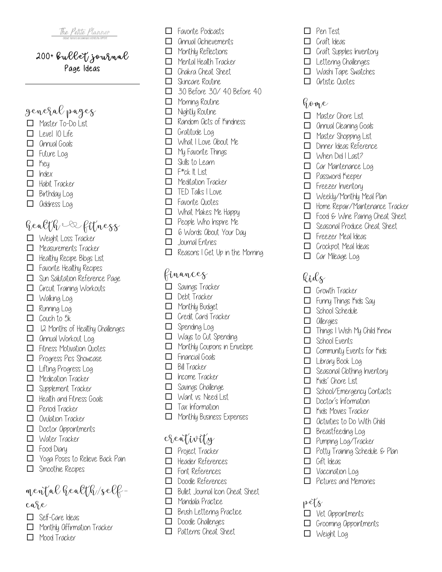#### 200+ Bullet Journal Page Ideas

# General Pages

- □ Master To-Do List
- $\Box$  Level 10 Life
- $\Box$  Annual Goals
- $\Box$  Future Log
- □ Key
- $\Box$  Index
- $\Box$  Habit Tracker
- $\Box$  Birthday Log
- $\Box$  address Log

# Health & Fitness

- $\Box$  Weight Loss Tracker
- $\Box$  Measurements Tracker
- $\Box$  Healthy Recipe Blogs List
- $\Box$  Favorite Healthy Recipes
- $\Box$  Sun Salutation Reference Page
- $\Box$  Circuit Training Workouts
- $\Box$  Walking Log
- $\Box$  Running Log
- $\Box$  Couch to 5k
- $\Box$  12 Months of Healthy Challenges
- □ annual Workout Log
- $\Box$  Fitness Motivation Quotes
- $\Box$  Progress Pics Showcase
- $\Box$  Lifting Progress Log
- $\Box$  Medication Tracker
- $\Box$  Supplement Tracker
- $\Box$  Health and Fitness Goals
- $\Box$  Period Tracker
- $\Box$  Ovulation Tracker
- $\Box$  Doctor Appointments
- $\Box$  Water Tracker
- $\Box$  Food Diary
- $\Box$  Yoga Poses to Relieve Back Pain
- $\Box$  Smoothie Recipes

# Mental Health/Self-

#### case

- $\Box$  Self-Care Ideas
- $\Box$  Monthly Offirmation Tracker
- $\Box$  Mood Tracker
- $\Box$  Favorite Podcasts
- $\Box$  Annual Achievements
- $\Box$  Monthly Reflections
- $\Box$  Mental Health Tracker
- $\Box$  Chakra Cheat Sheet
- $\Box$  Skincare Routine
- $\Box$  30 Before 30/40 Before 40
- $\Box$  Morning Routine
- $\Box$  Nightly Routine
- $\Box$  Random Octs of Kindness
- $\Box$  Gratitude Log
- $\Box$  What I Love Obout Me
- $\Box$  My Favorite Things
- $\Box$  Skills to Learn
- $\Box$  F<sup>\*</sup>ck  $\parallel$  List
- $\Box$  Meditation Tracker
- $\Box$  TED Taks I Love
- $\Box$  Favorite Quotes
- $\Box$  What Makes Me Happy
- $\Box$  People Who Inspire Me
- $\Box$  6 Words About Your Day
- $\Box$  Journal Entries
- $\Box$  Reasons I Get Up in the Morning

#### Finances

- $\Box$  Savings Tracker
- $\Box$  Debt Tracker
- $\Box$  Monthly Budget
- $\Box$  Credit Card Tracker
- $\Box$  Spending Log
- $\Box$  Ways to Cut Spending
- $\Box$  Monthly Coupons in Envelope
- $\Box$  Financial Goals
- $\Box$  Bill Tracker
- $\Box$  Income Tracker
- $\Box$  Savings Challenge
- $\Box$  Want vs. Need List
- $\Box$  Tax Information
- $\Box$  Monthly Business Expenses

## Creativity

- $\Box$  Project Tracker
- $\Box$  Header References
- $\Box$  Font References
- $\Box$  Doodle References
- $\Box$  Bullet Journal Icon Cheat Sheet
- $\Box$  Mandala Practice
- $\Box$  Brush Lettering Practice
- $\Box$  Doodle Challenges  $\Box$  Patterns Cheat Sheet
- $\Box$  Pen Test
- $\Box$  Craft Ideas
- $\Box$  Craft Supplies Inventory
- $\Box$  Lettering Challenges
- $\Box$  Washi Tape Swatches
- $\Box$  Artistic Quotes

## Home

- $\Box$  Master Chore List
- $\Box$  Annual Cleaning Goals
- $\Box$  Master Shopping List

 $\Box$  When Did I Last?  $\Box$  Car Maintenance Log  $\Box$  Password Keeper  $\Box$  Freezer Inventory

 $\Box$  Freezer Meal Ideas  $\Box$  Crockpot Meal Ideas  $\Box$  Car Mileage Log

 $\Box$  Growth Tracker  $\Box$  Funny Things Kids Say  $\Box$  School Schedule

 $\Box$  Things I Wish My Child Knew

 $\Box$  Community Events for Kids

 $\Box$  Seasonal Clothing Inventory

 $\Box$  School/Emergency Contacts

 $\Box$  Potty Training Schedule & Plan

Kids

 $\Box$  allergies

 $\Box$  School Events

 $\Box$  Library Book Log

 $\Box$  Kids' Chore List

 $\Box$  Doctor's Information  $\Box$  Kids Movies Tracker  $\Box$  Octivities to Do With Child

 $\Box$  Breastfeeding Log □ Pumping Log/Tracker

 $\Box$  Vet Appointments  $\Box$  Grooming Oppointments

 $\Box$  Weight Log

 $\Box$  Gift Ideas  $\Box$  Vaccination Log  $\Box$  Pictures and Memories

 $P^{\rm eff}$ 

 $\Box$  Dinner Ideas Reference

 $\Box$  Weekly/Monthly Meal Plan  $\Box$  Home Repair/Maintenance Tracker  $\Box$  Food & Wine Pairing Cheat Sheet  $\Box$  Seasonal Produce Cheat Sheet